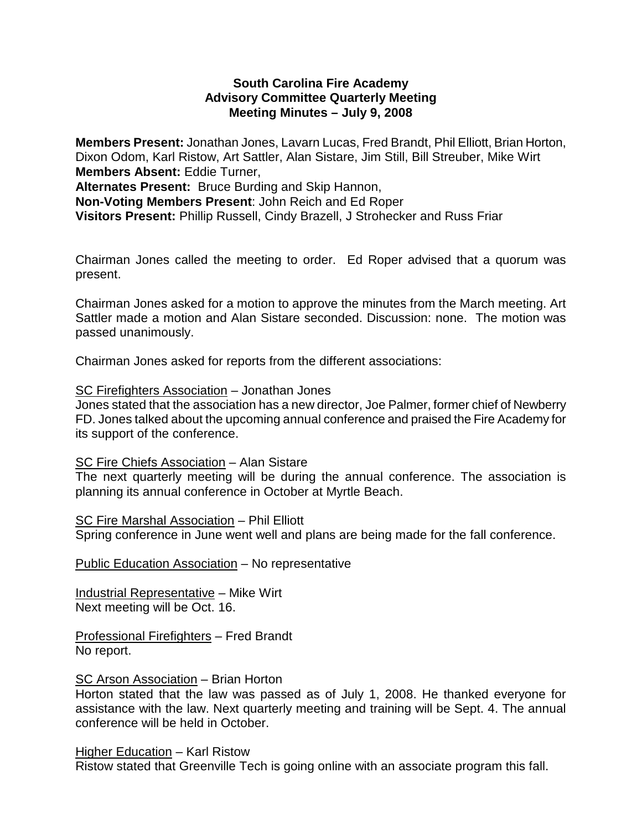# **South Carolina Fire Academy Advisory Committee Quarterly Meeting Meeting Minutes – July 9, 2008**

**Members Present:** Jonathan Jones, Lavarn Lucas, Fred Brandt, Phil Elliott, Brian Horton, Dixon Odom, Karl Ristow, Art Sattler, Alan Sistare, Jim Still, Bill Streuber, Mike Wirt **Members Absent:** Eddie Turner, **Alternates Present:** Bruce Burding and Skip Hannon, **Non-Voting Members Present**: John Reich and Ed Roper **Visitors Present:** Phillip Russell, Cindy Brazell, J Strohecker and Russ Friar

Chairman Jones called the meeting to order. Ed Roper advised that a quorum was present.

Chairman Jones asked for a motion to approve the minutes from the March meeting. Art Sattler made a motion and Alan Sistare seconded. Discussion: none. The motion was passed unanimously.

Chairman Jones asked for reports from the different associations:

#### SC Firefighters Association – Jonathan Jones

Jones stated that the association has a new director, Joe Palmer, former chief of Newberry FD. Jones talked about the upcoming annual conference and praised the Fire Academy for its support of the conference.

### SC Fire Chiefs Association – Alan Sistare

The next quarterly meeting will be during the annual conference. The association is planning its annual conference in October at Myrtle Beach.

SC Fire Marshal Association – Phil Elliott Spring conference in June went well and plans are being made for the fall conference.

Public Education Association – No representative

Industrial Representative – Mike Wirt Next meeting will be Oct. 16.

Professional Firefighters – Fred Brandt No report.

### SC Arson Association - Brian Horton

Horton stated that the law was passed as of July 1, 2008. He thanked everyone for assistance with the law. Next quarterly meeting and training will be Sept. 4. The annual conference will be held in October.

### Higher Education – Karl Ristow

Ristow stated that Greenville Tech is going online with an associate program this fall.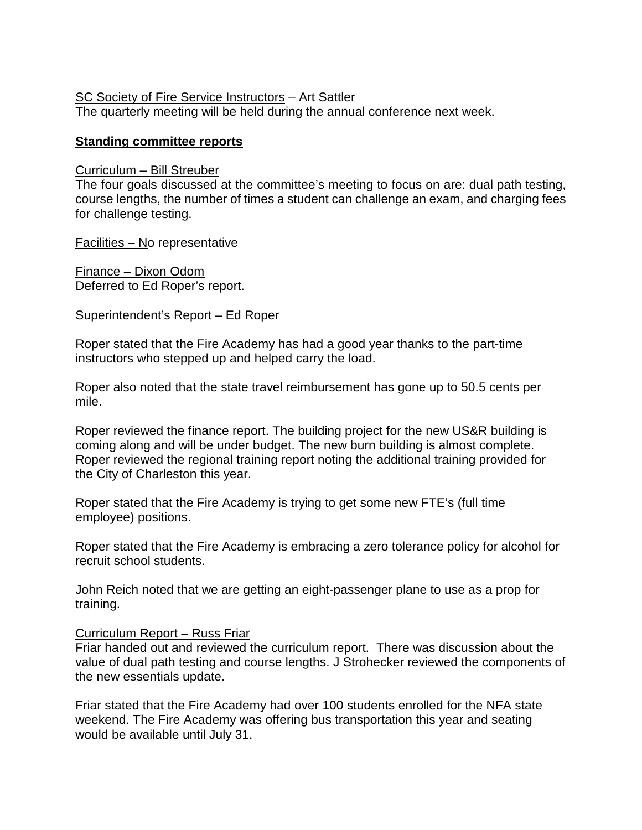# SC Society of Fire Service Instructors – Art Sattler

The quarterly meeting will be held during the annual conference next week.

# **Standing committee reports**

#### Curriculum – Bill Streuber

The four goals discussed at the committee's meeting to focus on are: dual path testing, course lengths, the number of times a student can challenge an exam, and charging fees for challenge testing.

Facilities – No representative

Finance – Dixon Odom Deferred to Ed Roper's report.

### Superintendent's Report – Ed Roper

Roper stated that the Fire Academy has had a good year thanks to the part-time instructors who stepped up and helped carry the load.

Roper also noted that the state travel reimbursement has gone up to 50.5 cents per mile.

Roper reviewed the finance report. The building project for the new US&R building is coming along and will be under budget. The new burn building is almost complete. Roper reviewed the regional training report noting the additional training provided for the City of Charleston this year.

Roper stated that the Fire Academy is trying to get some new FTE's (full time employee) positions.

Roper stated that the Fire Academy is embracing a zero tolerance policy for alcohol for recruit school students.

John Reich noted that we are getting an eight-passenger plane to use as a prop for training.

### Curriculum Report – Russ Friar

Friar handed out and reviewed the curriculum report. There was discussion about the value of dual path testing and course lengths. J Strohecker reviewed the components of the new essentials update.

Friar stated that the Fire Academy had over 100 students enrolled for the NFA state weekend. The Fire Academy was offering bus transportation this year and seating would be available until July 31.